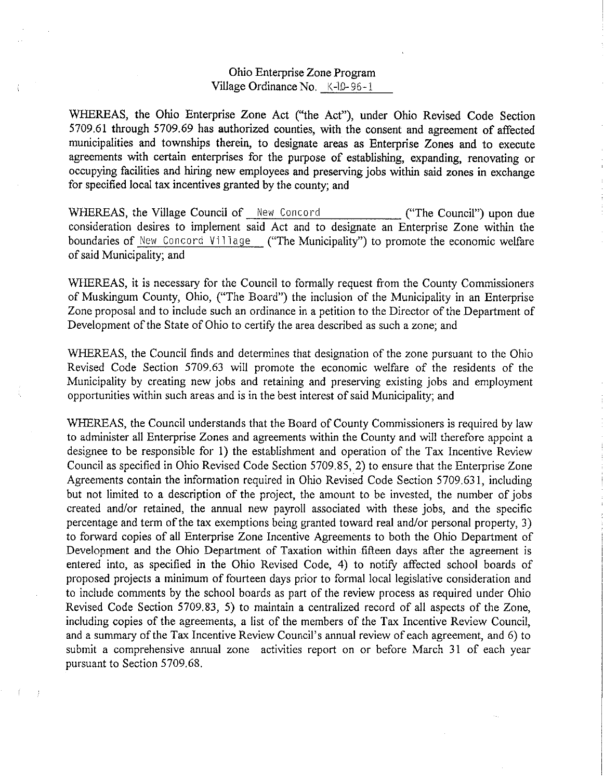## Ohio Enterprise Zone Program Village Ordinance No. K-lD-96-1

WHEREAS, the Ohio Enterprise Zone Act ("the Act"), under Ohio Revised Code Section 5709.61 through 5709.69 has authorized counties, with the consent and agreement of affected municipalities and townships therein, to designate areas as Enterprise Zones and to execute agreements with certain enterprises for the purpose of establishing, expanding, renovating or occupying facilities and hiring new employees and preserving jobs within said zones in exchange for specified local tax incentives granted by the county; and

WHEREAS, the Village Council of New Concord ("The Council") upon due consideration desires to implement said Act and to designate an Enterprise Zone within the boundaries of New Concord Village ("The Municipality") to promote the economic welfare of said Municipality; and

WHEREAS, it is necessary for the Council to formally request from the County Commissioners of Muskingum County, Ohio, ("The Board") the inclusion of the Municipality in an Enterprise Zone proposal and to include such an ordinance in a petition to the Director of the Department of Development of the State of Ohio to certify the area described as such a zone; and

WHEREAS, the Council finds and determines that designation of the zone pursuant to the Ohio Revised Code Section 5709.63 will promote the economic welfare of the residents of the Municipality by creating new jobs and retaining and preserving existing jobs and employment opportunities within such areas and is in the best interest of said Municipality; and

WHEREAS, the Council understands that the Board of County Commissioners is required by law to administer all Enterprise Zones and agreements within the County and will therefore appoint a designee to be responsible for 1) the establishment and operation of the Tax Incentive Review Council as specified in Ohio Revised Code Section 5709.85, 2) to ensure that the Enterprise Zone Agreements contain the information required in Ohio Revised Code Section 5709.631, including but not limited to a description of the project, the amount to be invested, the number of jobs created and/or retained, the annual new payroll associated with these jobs, and the specific percentage and term of the tax exemptions being granted toward real and/or personal property, 3) to forward copies of all Enterprise Zone Incentive Agreements to both the Ohio Department of Development and the Ohio Department of Taxation within fifteen days after the agreement is entered into, as specified in the Ohio Revised Code, 4) to notify affected school boards of proposed projects a minimum of fourteen days prior to formal local legislative consideration and to include comments by the school boards as part of the review process as required under Ohio Revised Code Section 5709.83, 5) to maintain a centralized record of all aspects of the Zone, including copies of the agreements, a list of the members of the Tax Incentive Review Council, and a summary of the Tax Incentive Review Council's annual review of each agreement, and 6) to submit a comprehensive annual zone activities report on or before March 31 of each year pursuant to Section 5709.68.